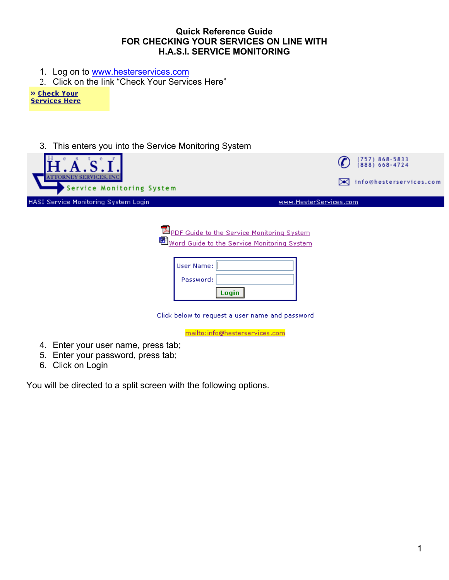## **Quick Reference Guide FOR CHECKING YOUR SERVICES ON LINE WITH H.A.S.I. SERVICE MONITORING**

- 1. Log on to [www.hesterservices.com](http://www.hesterservices.com/)
- 2. Click on the link "Check Your Services Here"

» Check Your **Services Here** 

3. This enters you into the Service Monitoring System



**EN** PDF Guide to the Service Monitoring System Word Guide to the Service Monitoring System

| User Name: |       |
|------------|-------|
| Password:  |       |
|            | Login |

Click below to request a user name and password

mailto:info@hesterservices.com

- 4. Enter your user name, press tab;
- 5. Enter your password, press tab;
- 6. Click on Login

You will be directed to a split screen with the following options.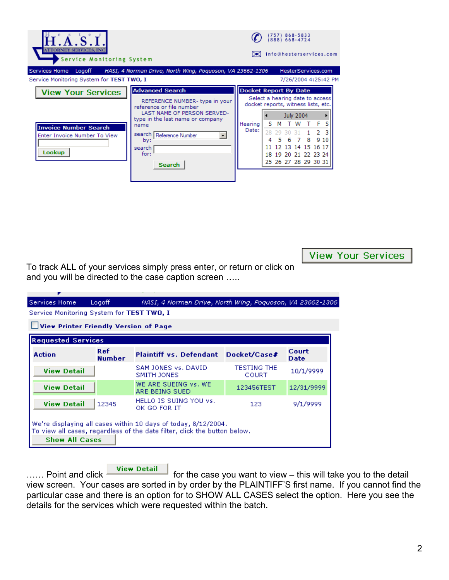| <b>ATTORNEY SERVICES.</b><br>Service Monitoring System                                              |                                                                                                                                                                                                                                        |                                                                                                                            |          | (757)        |   | 868-5833<br>$(888) 668 - 4724$                                                             |   |            | info@hesterservices.com                    |  |
|-----------------------------------------------------------------------------------------------------|----------------------------------------------------------------------------------------------------------------------------------------------------------------------------------------------------------------------------------------|----------------------------------------------------------------------------------------------------------------------------|----------|--------------|---|--------------------------------------------------------------------------------------------|---|------------|--------------------------------------------|--|
| Services Home<br>Logoff<br>Service Monitoring System for TEST TWO, I                                | HASI, 4 Norman Drive, North Wing, Poquoson, VA 23662-1306                                                                                                                                                                              |                                                                                                                            |          |              |   |                                                                                            |   |            | HesterServices.com<br>7/26/2004 4:25:42 PM |  |
| <b>View Your Services</b><br><b>Invoice Number Search</b><br>Enter Invoice Number To View<br>Lookup | <b>Advanced Search</b><br>REFERENCE NUMBER- type in your<br>reference or file number<br>LAST NAME OF PERSON SERVED-<br>type in the last name or company<br>name<br>search   Reference Number<br>by:<br>search<br>for:<br><b>Search</b> | <b>Docket Report By Date</b><br>Select a hearing date to access<br>docket reports, witness lists, etc.<br>Hearing<br>Date: | s<br>28. | м<br>79<br>5 | 6 | <b>July 2004</b><br>W<br>12 13 14 15 16 17<br>18 19 20 21 22 23 24<br>25 26 27 28 29 30 31 | 8 | - F<br>910 |                                            |  |

**View Your Services** 

To track ALL of your services simply press enter, or return or click on and you will be directed to the case caption screen …..

| Services Home<br>Logoff<br>HASI, 4 Norman Drive, North Wing, Poguoson, VA 23662-1306. |                             |                                                                                                                                             |                             |                      |  |  |  |  |  |
|---------------------------------------------------------------------------------------|-----------------------------|---------------------------------------------------------------------------------------------------------------------------------------------|-----------------------------|----------------------|--|--|--|--|--|
| Service Monitoring System for TEST TWO, I                                             |                             |                                                                                                                                             |                             |                      |  |  |  |  |  |
| View Printer Friendly Version of Page                                                 |                             |                                                                                                                                             |                             |                      |  |  |  |  |  |
| <b>Requested Services</b>                                                             |                             |                                                                                                                                             |                             |                      |  |  |  |  |  |
| <b>Action</b>                                                                         | <b>Ref</b><br><b>Number</b> | Plaintiff vs. Defendant Docket/Case#                                                                                                        |                             | Court<br><b>Date</b> |  |  |  |  |  |
| <b>View Detail</b>                                                                    |                             | SAM JONES Vs. DAVID<br>SMITH JONES                                                                                                          | <b>TESTING THE</b><br>COURT | 10/1/9999            |  |  |  |  |  |
| <b>View Detail</b>                                                                    |                             | WE ARE SUEING vs. WE<br>ARE BEING SUED.                                                                                                     | 123456TEST                  | 12/31/9999           |  |  |  |  |  |
| <b>View Detail</b>                                                                    | 12345                       | HELLO IS SUING YOU vs.<br>OK GO FOR IT                                                                                                      | 123                         | 9/1/9999             |  |  |  |  |  |
| <b>Show All Cases</b>                                                                 |                             | We're displaying all cases within 10 days of today, 8/12/2004.<br>To view all cases, regardless of the date filter, click the button below. |                             |                      |  |  |  |  |  |

...... Point and click **Wiew Detail** for the case you want to view – this will take you to the detail view screen. Your cases are sorted in by order by the PLAINTIFF'S first name. If you cannot find the particular case and there is an option for to SHOW ALL CASES select the option. Here you see the details for the services which were requested within the batch.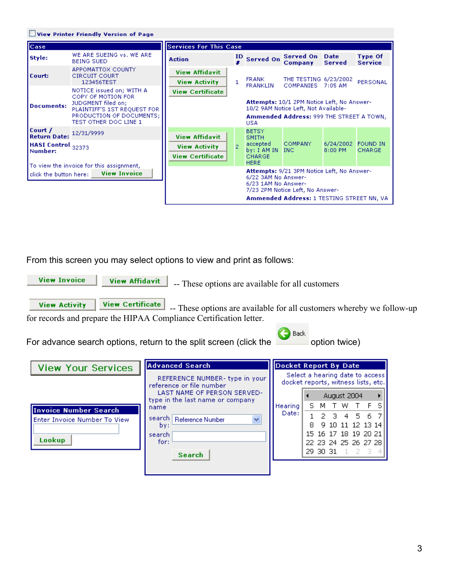|                                                                            | View Printer Friendly Version of Page                                                                                                                           |                                                                          |                |                                                                                         |                                                                                                                                |                                 |                                  |
|----------------------------------------------------------------------------|-----------------------------------------------------------------------------------------------------------------------------------------------------------------|--------------------------------------------------------------------------|----------------|-----------------------------------------------------------------------------------------|--------------------------------------------------------------------------------------------------------------------------------|---------------------------------|----------------------------------|
| <b>Case</b>                                                                |                                                                                                                                                                 | <b>Services For This Case</b>                                            |                |                                                                                         |                                                                                                                                |                                 |                                  |
| Style:                                                                     | WE ARE SUEING vs. WE ARE<br><b>BEING SUED</b>                                                                                                                   | <b>Action</b>                                                            | ID             | <b>Served On</b>                                                                        | Served On Date<br>Company                                                                                                      | Served                          | <b>Type Of</b><br><b>Service</b> |
| Court:                                                                     | APPOMATTOX COUNTY<br><b>CIRCUIT COURT</b><br>123456TEST                                                                                                         | <b>View Affidavit</b><br><b>View Activity</b>                            | $\mathbf{1}$   | <b>FRANK</b><br><b>FRANKLIN</b>                                                         | THE TESTING 6/23/2002<br><b>COMPANIES</b>                                                                                      | $7:05$ AM                       | PERSONAL                         |
| <b>Documents:</b>                                                          | NOTICE issued on: WITH A<br>COPY OF MOTION FOR<br>JUDGMENT filed on:<br>PLAINTIFF'S 1ST REQUEST FOR<br><b>PRODUCTION OF DOCUMENTS:</b><br>TEST OTHER DOC LINE 1 | <b>View Certificate</b>                                                  |                | USA.                                                                                    | Attempts: 10/1 2PM Notice Left, No Answer-<br>10/2 9AM Notice Left, Not Available-<br>Ammended Address: 999 THE STREET A TOWN, |                                 |                                  |
| Court /<br><b>Return Date:</b><br>HASI Control <sub>32373</sub><br>Number: | 12/31/9999<br>To view the invoice for this assignment,                                                                                                          | <b>View Affidavit</b><br><b>View Activity</b><br><b>View Certificate</b> | $\overline{2}$ | <b>BETSY</b><br><b>SMITH</b><br>accepted<br>by: I AM IN<br><b>CHARGE</b><br><b>HERE</b> | <b>COMPANY</b><br>$\_$ INC $\_$                                                                                                | 6/24/2002 FOUND IN<br>$8:00$ PM | <b>CHARGE</b>                    |
| click the button here:                                                     | <b>View Invoice</b>                                                                                                                                             |                                                                          |                | 6/22 3AM No Answer-<br>6/23 1AM No Answer-                                              | Attempts: 9/21 3PM Notice Left, No Answer-<br>7/23 2PM Notice Left, No Answer-<br>Ammended Address: 1 TESTING STREET NN, VA    |                                 |                                  |

From this screen you may select options to view and print as follows:

**View Invoice** 

**View Affidavit** 

-- These options are available for all customers

**View Activity View Certificate**  -- These options are available for all customers whereby we follow-up for records and prepare the HIPAA Compliance Certification letter.

For advance search options, return to the split screen (click the option twice)



| View Your Services           | Advanced Search                                                 | <b>Docket Report By Date</b>                                           |    |     |                                      |    |     |  |
|------------------------------|-----------------------------------------------------------------|------------------------------------------------------------------------|----|-----|--------------------------------------|----|-----|--|
|                              | REFERENCE NUMBER- type in your<br>reference or file number      | Select a hearing date to access<br>docket reports, witness lists, etc. |    |     |                                      |    |     |  |
|                              | LAST NAME OF PERSON SERVED-<br>type in the last name or company |                                                                        |    |     | August 2004                          |    |     |  |
| Invoice Number Search        | name                                                            | <b>Hearing</b>                                                         | S. | M i |                                      | тw |     |  |
| Enter Invoice Number To View | search <br>Reference Number<br>$\checkmark$<br>by:<br>search    | Date:                                                                  |    |     | 2 3 4 5 6 7                          |    |     |  |
|                              |                                                                 |                                                                        | 8  |     | 9 10 11 12 13 14                     |    |     |  |
| Lookup                       |                                                                 |                                                                        |    |     | 15 16 17 18 19 20 21                 |    |     |  |
|                              | for:                                                            |                                                                        |    |     | 22 23 24 25 26 27 28<br>29 30 31 1 2 |    | -31 |  |
|                              | <b>Search</b>                                                   |                                                                        |    |     |                                      |    |     |  |
|                              |                                                                 |                                                                        |    |     |                                      |    |     |  |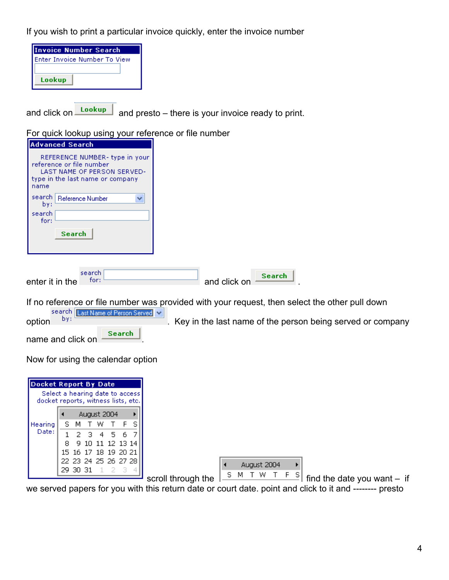If you wish to print a particular invoice quickly, enter the invoice number

| Invoice Number Search        |
|------------------------------|
| Enter Invoice Number To View |
|                              |
| Lookup                       |

and click on  $\frac{\text{Lookup}}{\text{and}}$  and presto – there is your invoice ready to print.

| For quick lookup using your reference or file number                                                                                                                                                              |                               |
|-------------------------------------------------------------------------------------------------------------------------------------------------------------------------------------------------------------------|-------------------------------|
| <b>Advanced Search</b>                                                                                                                                                                                            |                               |
| REFERENCE NUMBER- type in your<br>reference or file number<br>LAST NAME OF PERSON SERVED-<br>type in the last name or company<br>name<br>search   Reference Number<br>v<br>by:<br>search<br>for:<br><b>Search</b> |                               |
| search<br>for:<br>enter it in the                                                                                                                                                                                 | <b>Search</b><br>and click on |

For quick lookup using your reference or file number

If no reference or file number was provided with your request, then select the other pull down<br>search  $\frac{1}{\text{last Name of Person Served}}$   $\frac{1}{\text{New in the last name of the person being served or com-}$ 

option  $\frac{b}{y}$ . Key in the last name of the person being served or company

name and click on **Search** 

Now for using the calendar option

| <b>Docket Report By Date</b><br>Select a hearing date to access<br>docket reports, witness lists, etc. |    |                      |  |  |                  |  |  |  |
|--------------------------------------------------------------------------------------------------------|----|----------------------|--|--|------------------|--|--|--|
|                                                                                                        |    |                      |  |  | August 2004      |  |  |  |
| Hearing                                                                                                |    | S M T W T F S        |  |  |                  |  |  |  |
| Date:                                                                                                  | 1. |                      |  |  | 234567           |  |  |  |
|                                                                                                        | 8. |                      |  |  | 9 10 11 12 13 14 |  |  |  |
|                                                                                                        |    | 15 16 17 18 19 20 21 |  |  |                  |  |  |  |
|                                                                                                        |    | 22 23 24 25 26 27 28 |  |  |                  |  |  |  |
|                                                                                                        |    | 29 30 31 1 2         |  |  |                  |  |  |  |

August 2004  $\blacktriangleleft$ Þ

scroll through the  $\sqrt{\frac{S M T W T F S}{m}}$  find the date you want – if

we served papers for you with this return date or court date. point and click to it and -------- presto